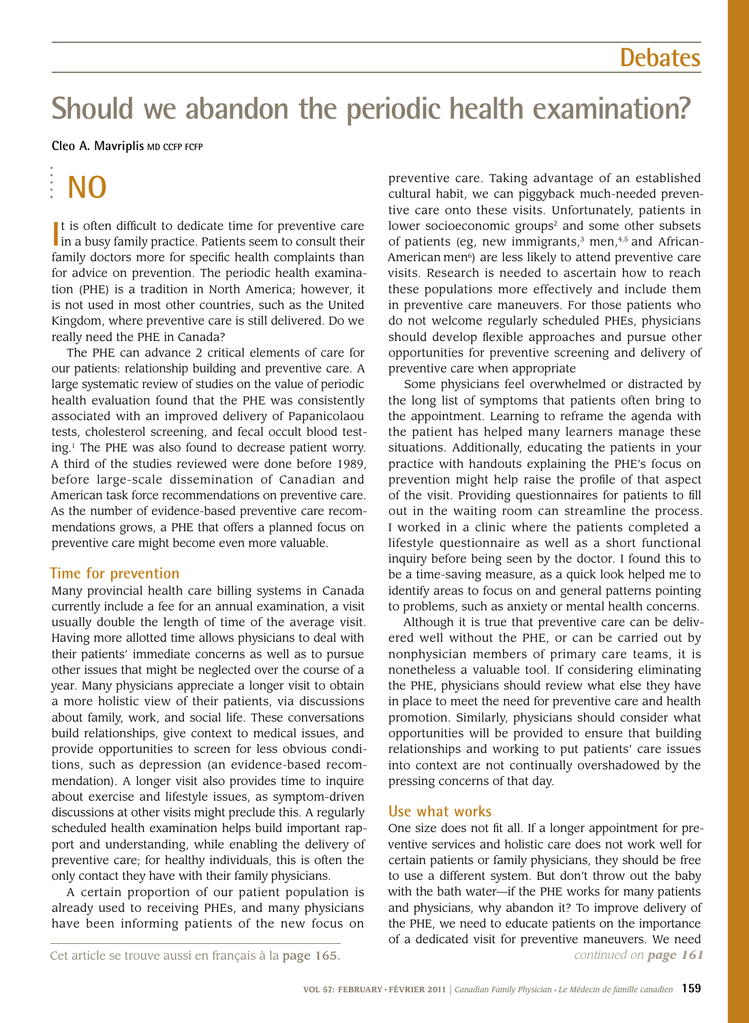### **Debates**

## **Should we abandon the periodic health examination?**

### **Cleo A. Mavriplis MD CCFP FCFP**

# **NO**

It is often difficult to dedicate time for preventive care in a busy family practice. Patients seem to consult their I in a busy family practice. Patients seem to consult their family doctors more for specific health complaints than for advice on prevention. The periodic health examination (PHE) is a tradition in North America; however, it is not used in most other countries, such as the United Kingdom, where preventive care is still delivered. Do we really need the PHE in Canada?

The PHE can advance 2 critical elements of care for our patients: relationship building and preventive care. A large systematic review of studies on the value of periodic health evaluation found that the PHE was consistently associated with an improved delivery of Papanicolaou tests, cholesterol screening, and fecal occult blood testing.1 The PHE was also found to decrease patient worry. A third of the studies reviewed were done before 1989, before large-scale dissemination of Canadian and American task force recommendations on preventive care. As the number of evidence-based preventive care recommendations grows, a PHE that offers a planned focus on preventive care might become even more valuable.

### **Time for prevention**

Many provincial health care billing systems in Canada currently include a fee for an annual examination, a visit usually double the length of time of the average visit. Having more allotted time allows physicians to deal with their patients' immediate concerns as well as to pursue other issues that might be neglected over the course of a year. Many physicians appreciate a longer visit to obtain a more holistic view of their patients, via discussions about family, work, and social life. These conversations build relationships, give context to medical issues, and provide opportunities to screen for less obvious conditions, such as depression (an evidence-based recommendation). A longer visit also provides time to inquire about exercise and lifestyle issues, as symptom-driven discussions at other visits might preclude this. A regularly scheduled health examination helps build important rapport and understanding, while enabling the delivery of preventive care; for healthy individuals, this is often the only contact they have with their family physicians.

A certain proportion of our patient population is already used to receiving PHEs, and many physicians have been informing patients of the new focus on

preventive care. Taking advantage of an established cultural habit, we can piggyback much-needed preventive care onto these visits. Unfortunately, patients in lower socioeconomic groups<sup>2</sup> and some other subsets of patients (eg, new immigrants, $3$  men, $4,5$  and African-American men<sup>6</sup>) are less likely to attend preventive care visits. Research is needed to ascertain how to reach these populations more effectively and include them in preventive care maneuvers. For those patients who do not welcome regularly scheduled PHEs, physicians should develop flexible approaches and pursue other opportunities for preventive screening and delivery of preventive care when appropriate

Some physicians feel overwhelmed or distracted by the long list of symptoms that patients often bring to the appointment. Learning to reframe the agenda with the patient has helped many learners manage these situations. Additionally, educating the patients in your practice with handouts explaining the PHE's focus on prevention might help raise the profile of that aspect of the visit. Providing questionnaires for patients to fill out in the waiting room can streamline the process. I worked in a clinic where the patients completed a lifestyle questionnaire as well as a short functional inquiry before being seen by the doctor. I found this to be a time-saving measure, as a quick look helped me to identify areas to focus on and general patterns pointing to problems, such as anxiety or mental health concerns.

Although it is true that preventive care can be delivered well without the PHE, or can be carried out by nonphysician members of primary care teams, it is nonetheless a valuable tool. If considering eliminating the PHE, physicians should review what else they have in place to meet the need for preventive care and health promotion. Similarly, physicians should consider what opportunities will be provided to ensure that building relationships and working to put patients' care issues into context are not continually overshadowed by the pressing concerns of that day.

### **Use what works**

One size does not fit all. If a longer appointment for preventive services and holistic care does not work well for certain patients or family physicians, they should be free to use a different system. But don't throw out the baby with the bath water—if the PHE works for many patients and physicians, why abandon it? To improve delivery of the PHE, we need to educate patients on the importance of a dedicated visit for preventive maneuvers. We need *continued on page 161*

Cet article se trouve aussi en français à la page 165.